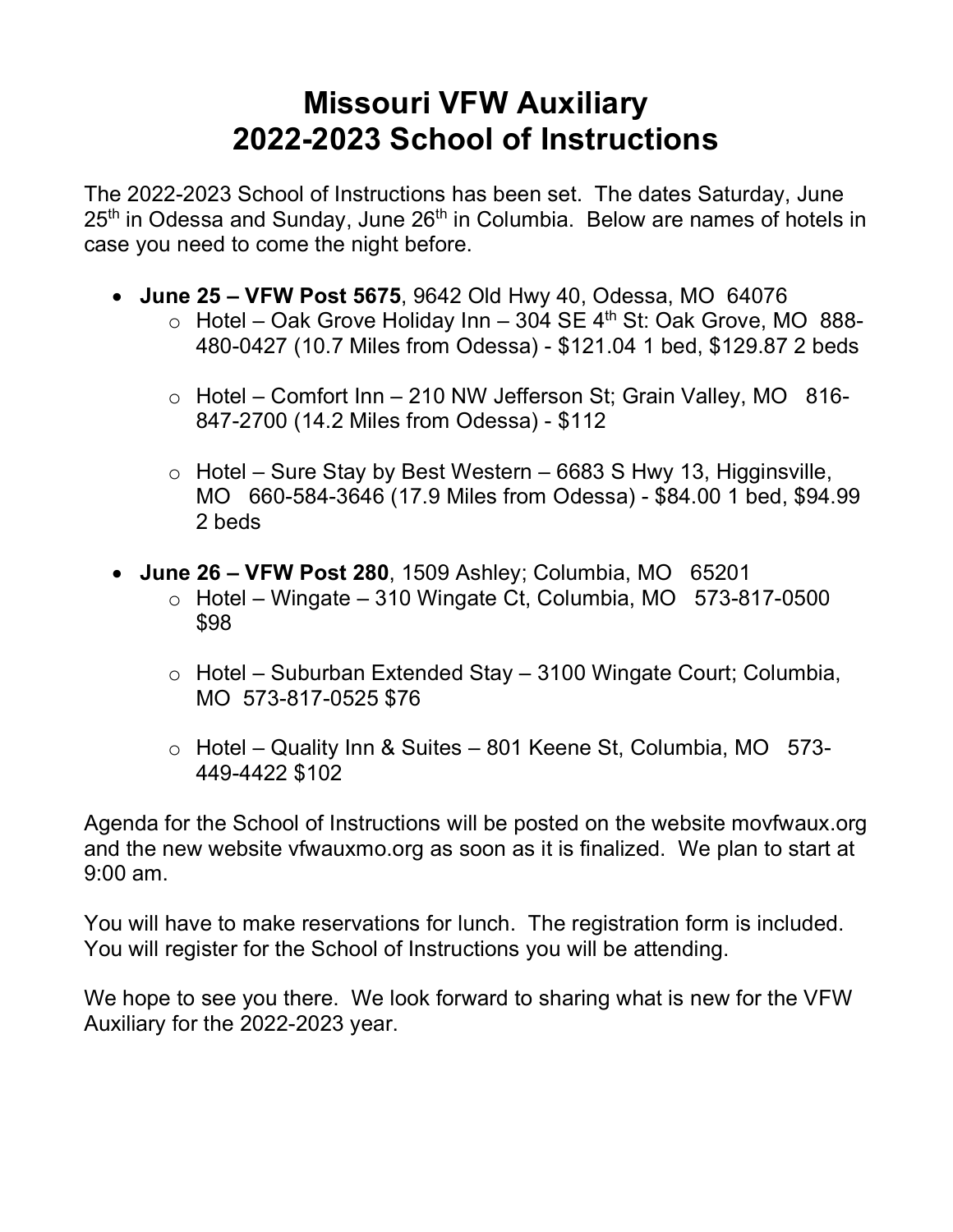## **Missouri VFW Auxiliary 2022-2023 School of Instructions**

The 2022-2023 School of Instructions has been set. The dates Saturday, June  $25<sup>th</sup>$  in Odessa and Sunday, June  $26<sup>th</sup>$  in Columbia. Below are names of hotels in case you need to come the night before.

- **June 25 VFW Post 5675**, 9642 Old Hwy 40, Odessa, MO 64076
	- $\circ$  Hotel Oak Grove Holiday Inn 304 SE 4<sup>th</sup> St: Oak Grove, MO 888-480-0427 (10.7 Miles from Odessa) - \$121.04 1 bed, \$129.87 2 beds
	- $\circ$  Hotel Comfort Inn 210 NW Jefferson St; Grain Valley, MO 816-847-2700 (14.2 Miles from Odessa) - \$112
	- $\circ$  Hotel Sure Stay by Best Western 6683 S Hwy 13, Higginsville, MO 660-584-3646 (17.9 Miles from Odessa) - \$84.00 1 bed, \$94.99 2 beds
- **June 26 VFW Post 280**, 1509 Ashley; Columbia, MO 65201
	- $\circ$  Hotel Wingate 310 Wingate Ct, Columbia, MO  $573-817-0500$ \$98
	- o Hotel Suburban Extended Stay 3100 Wingate Court; Columbia, MO 573-817-0525 \$76
	- o Hotel Quality Inn & Suites 801 Keene St, Columbia, MO 573- 449-4422 \$102

Agenda for the School of Instructions will be posted on the website movfwaux.org and the new website vfwauxmo.org as soon as it is finalized. We plan to start at 9:00 am.

You will have to make reservations for lunch. The registration form is included. You will register for the School of Instructions you will be attending.

We hope to see you there. We look forward to sharing what is new for the VFW Auxiliary for the 2022-2023 year.